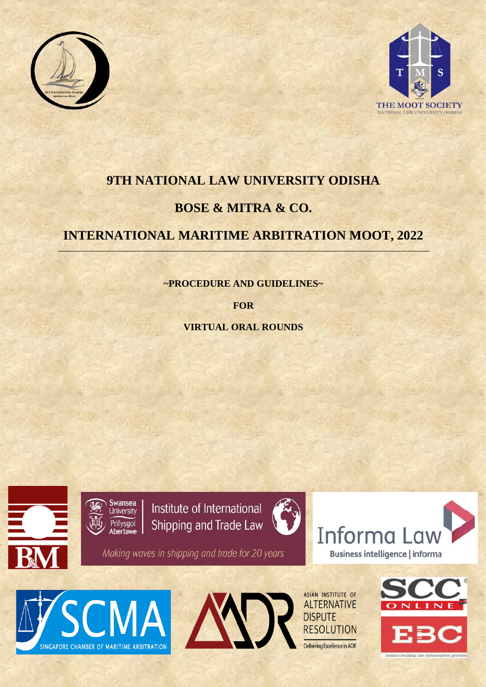



# **9TH NATIONAL LAW UNIVERSITY ODISHA BOSE & MITRA & CO.**

## **INTERNATIONAL MARITIME ARBITRATION MOOT, 2022**

**~PROCEDURE AND GUIDELINES~**

**FOR**

**VIRTUAL ORAL ROUNDS**







ASIAN INSTITUTE OF **ALTERNATIVE DISPUTE RESOLUTION** Delivering Excellence in ADR

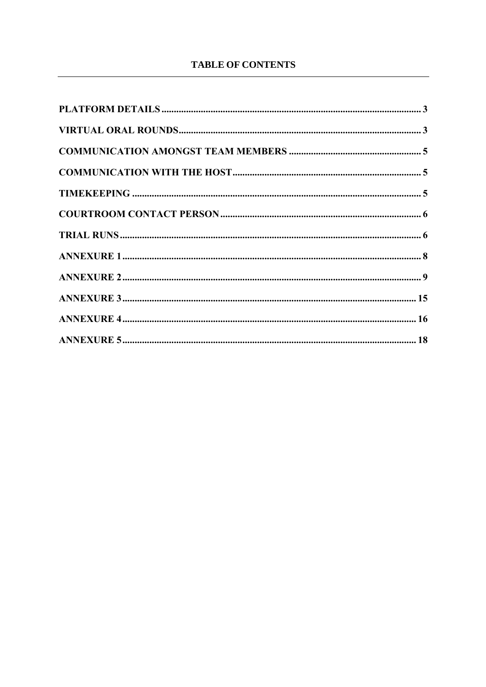### **TABLE OF CONTENTS**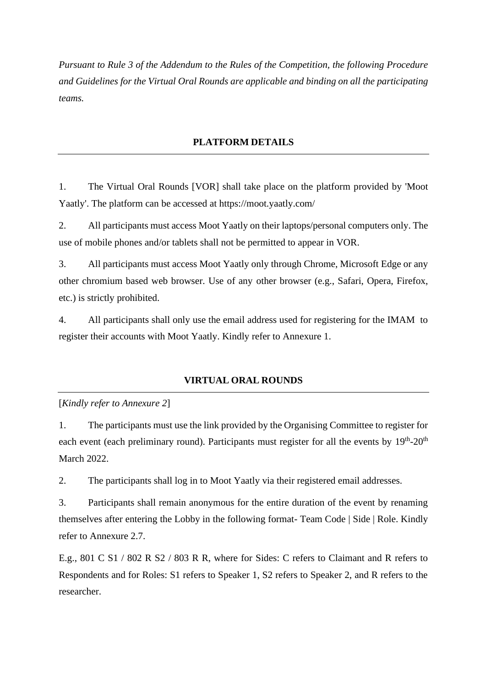*Pursuant to Rule 3 of the Addendum to the Rules of the Competition, the following Procedure and Guidelines for the Virtual Oral Rounds are applicable and binding on all the participating teams.*

#### **PLATFORM DETAILS**

<span id="page-2-0"></span>1. The Virtual Oral Rounds [VOR] shall take place on the platform provided by 'Moot Yaatly'. The platform can be accessed at https://moot.yaatly.com/

2. All participants must access Moot Yaatly on their laptops/personal computers only. The use of mobile phones and/or tablets shall not be permitted to appear in VOR.

3. All participants must access Moot Yaatly only through Chrome, Microsoft Edge or any other chromium based web browser. Use of any other browser (e.g., Safari, Opera, Firefox, etc.) is strictly prohibited.

4. All participants shall only use the email address used for registering for the IMAM to register their accounts with Moot Yaatly. Kindly refer to Annexure 1.

#### **VIRTUAL ORAL ROUNDS**

#### <span id="page-2-1"></span>[*Kindly refer to Annexure 2*]

1. The participants must use the link provided by the Organising Committee to register for each event (each preliminary round). Participants must register for all the events by  $19<sup>th</sup>$ -20<sup>th</sup> March 2022.

2. The participants shall log in to Moot Yaatly via their registered email addresses.

3. Participants shall remain anonymous for the entire duration of the event by renaming themselves after entering the Lobby in the following format- Team Code | Side | Role. Kindly refer to Annexure 2.7.

E.g., 801 C S1 / 802 R S2 / 803 R R, where for Sides: C refers to Claimant and R refers to Respondents and for Roles: S1 refers to Speaker 1, S2 refers to Speaker 2, and R refers to the researcher.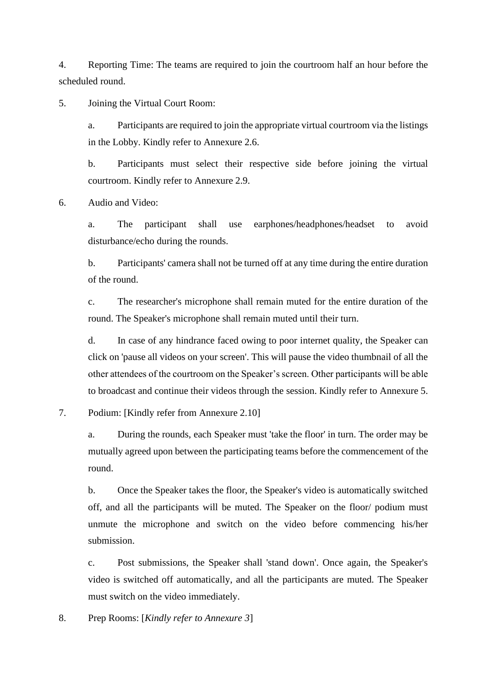4. Reporting Time: The teams are required to join the courtroom half an hour before the scheduled round.

5. Joining the Virtual Court Room:

a. Participants are required to join the appropriate virtual courtroom via the listings in the Lobby. Kindly refer to Annexure 2.6.

b. Participants must select their respective side before joining the virtual courtroom. Kindly refer to Annexure 2.9.

6. Audio and Video:

a. The participant shall use earphones/headphones/headset to avoid disturbance/echo during the rounds.

b. Participants' camera shall not be turned off at any time during the entire duration of the round.

c. The researcher's microphone shall remain muted for the entire duration of the round. The Speaker's microphone shall remain muted until their turn.

d. In case of any hindrance faced owing to poor internet quality, the Speaker can click on 'pause all videos on your screen'. This will pause the video thumbnail of all the other attendees of the courtroom on the Speaker's screen. Other participants will be able to broadcast and continue their videos through the session. Kindly refer to Annexure 5.

#### 7. Podium: [Kindly refer from Annexure 2.10]

a. During the rounds, each Speaker must 'take the floor' in turn. The order may be mutually agreed upon between the participating teams before the commencement of the round.

b. Once the Speaker takes the floor, the Speaker's video is automatically switched off, and all the participants will be muted. The Speaker on the floor/ podium must unmute the microphone and switch on the video before commencing his/her submission.

c. Post submissions, the Speaker shall 'stand down'. Once again, the Speaker's video is switched off automatically, and all the participants are muted. The Speaker must switch on the video immediately.

8. Prep Rooms: [*Kindly refer to Annexure 3*]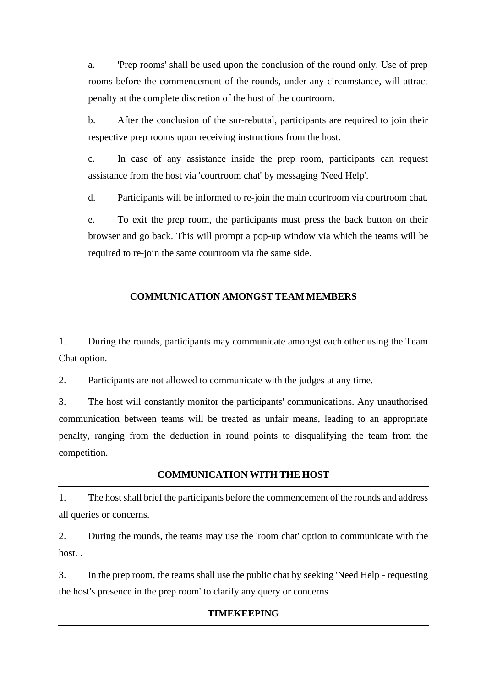a. 'Prep rooms' shall be used upon the conclusion of the round only. Use of prep rooms before the commencement of the rounds, under any circumstance, will attract penalty at the complete discretion of the host of the courtroom.

b. After the conclusion of the sur-rebuttal, participants are required to join their respective prep rooms upon receiving instructions from the host.

c. In case of any assistance inside the prep room, participants can request assistance from the host via 'courtroom chat' by messaging 'Need Help'.

d. Participants will be informed to re-join the main courtroom via courtroom chat.

e. To exit the prep room, the participants must press the back button on their browser and go back. This will prompt a pop-up window via which the teams will be required to re-join the same courtroom via the same side.

#### **COMMUNICATION AMONGST TEAM MEMBERS**

<span id="page-4-0"></span>1. During the rounds, participants may communicate amongst each other using the Team Chat option.

2. Participants are not allowed to communicate with the judges at any time.

3. The host will constantly monitor the participants' communications. Any unauthorised communication between teams will be treated as unfair means, leading to an appropriate penalty, ranging from the deduction in round points to disqualifying the team from the competition.

#### **COMMUNICATION WITH THE HOST**

<span id="page-4-1"></span>1. The host shall brief the participants before the commencement of the rounds and address all queries or concerns.

2. During the rounds, the teams may use the 'room chat' option to communicate with the host.

<span id="page-4-2"></span>3. In the prep room, the teams shall use the public chat by seeking 'Need Help - requesting the host's presence in the prep room' to clarify any query or concerns

#### **TIMEKEEPING**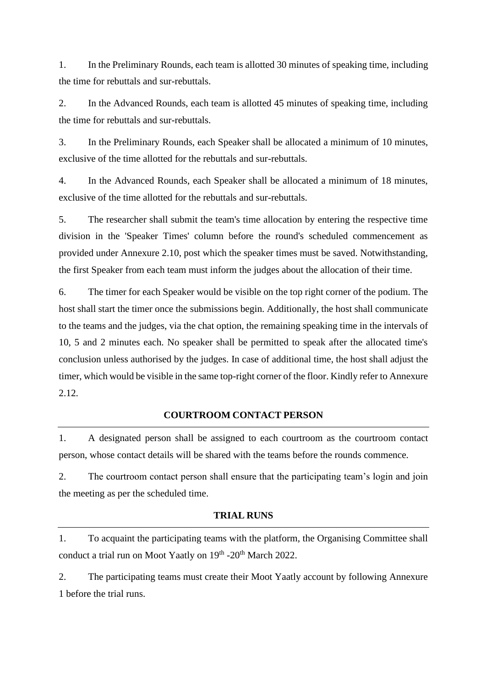1. In the Preliminary Rounds, each team is allotted 30 minutes of speaking time, including the time for rebuttals and sur-rebuttals.

2. In the Advanced Rounds, each team is allotted 45 minutes of speaking time, including the time for rebuttals and sur-rebuttals.

3. In the Preliminary Rounds, each Speaker shall be allocated a minimum of 10 minutes, exclusive of the time allotted for the rebuttals and sur-rebuttals.

4. In the Advanced Rounds, each Speaker shall be allocated a minimum of 18 minutes, exclusive of the time allotted for the rebuttals and sur-rebuttals.

5. The researcher shall submit the team's time allocation by entering the respective time division in the 'Speaker Times' column before the round's scheduled commencement as provided under Annexure 2.10, post which the speaker times must be saved. Notwithstanding, the first Speaker from each team must inform the judges about the allocation of their time.

6. The timer for each Speaker would be visible on the top right corner of the podium. The host shall start the timer once the submissions begin. Additionally, the host shall communicate to the teams and the judges, via the chat option, the remaining speaking time in the intervals of 10, 5 and 2 minutes each. No speaker shall be permitted to speak after the allocated time's conclusion unless authorised by the judges. In case of additional time, the host shall adjust the timer, which would be visible in the same top-right corner of the floor. Kindly refer to Annexure 2.12.

#### **COURTROOM CONTACT PERSON**

<span id="page-5-0"></span>1. A designated person shall be assigned to each courtroom as the courtroom contact person, whose contact details will be shared with the teams before the rounds commence.

2. The courtroom contact person shall ensure that the participating team's login and join the meeting as per the scheduled time.

#### **TRIAL RUNS**

<span id="page-5-1"></span>1. To acquaint the participating teams with the platform, the Organising Committee shall conduct a trial run on Moot Yaatly on 19<sup>th</sup> -20<sup>th</sup> March 2022.

2. The participating teams must create their Moot Yaatly account by following Annexure 1 before the trial runs.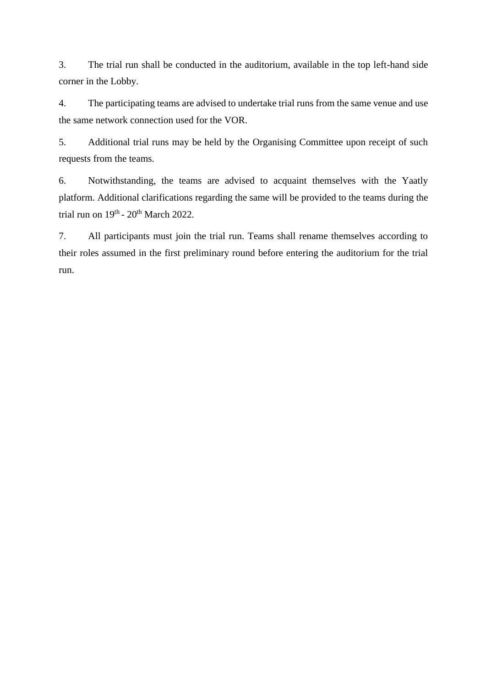3. The trial run shall be conducted in the auditorium, available in the top left-hand side corner in the Lobby.

4. The participating teams are advised to undertake trial runs from the same venue and use the same network connection used for the VOR.

5. Additional trial runs may be held by the Organising Committee upon receipt of such requests from the teams.

6. Notwithstanding, the teams are advised to acquaint themselves with the Yaatly platform. Additional clarifications regarding the same will be provided to the teams during the trial run on  $19<sup>th</sup>$  -  $20<sup>th</sup>$  March 2022.

7. All participants must join the trial run. Teams shall rename themselves according to their roles assumed in the first preliminary round before entering the auditorium for the trial run.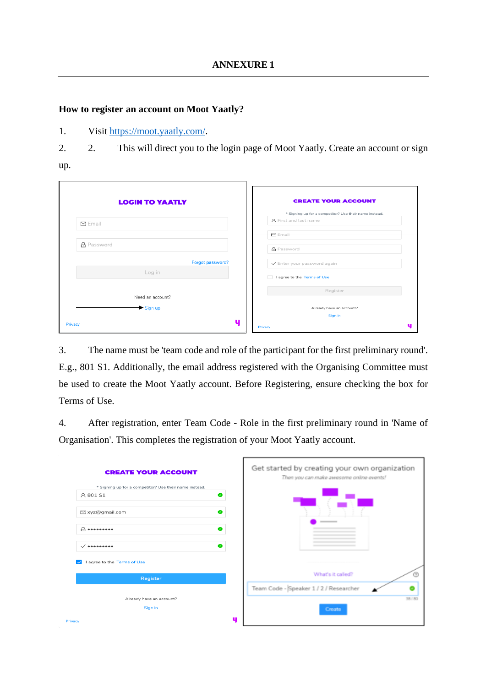#### <span id="page-7-0"></span>**How to register an account on Moot Yaatly?**

1. Visit [https://moot.yaatly.com/.](https://moot.yaatly.com/)

2. 2. This will direct you to the login page of Moot Yaatly. Create an account or sign

up.

| <b>LOGIN TO YAATLY</b> | <b>CREATE YOUR ACCOUNT</b>                             |
|------------------------|--------------------------------------------------------|
|                        | * Signing up for a competitor? Use their name instead. |
| $\nabla$ Email         | A First and last name                                  |
|                        | ⊡ Email                                                |
| <b>品</b> Password      | <b>品</b> Password                                      |
| Forgot password?       | √ Enter your password again                            |
| Log in                 | I agree to the Terms of Use<br>$\Box$                  |
|                        | Register                                               |
| Need an account?       |                                                        |
| Sign up                | Already have an account?                               |
|                        | Sign in                                                |
| Privacy                | υ<br>Privacy                                           |

3. The name must be 'team code and role of the participant for the first preliminary round'. E.g., 801 S1. Additionally, the email address registered with the Organising Committee must be used to create the Moot Yaatly account. Before Registering, ensure checking the box for Terms of Use.

4. After registration, enter Team Code - Role in the first preliminary round in 'Name of Organisation'. This completes the registration of your Moot Yaatly account.

| <b>CREATE YOUR ACCOUNT</b>                             | Get started by creating your own organization<br>Then you can make awesome online events! |
|--------------------------------------------------------|-------------------------------------------------------------------------------------------|
| * Signing up for a competitor? Use their name instead. |                                                                                           |
| A 801 S1<br>$\bullet$                                  |                                                                                           |
| ⊠ xyz@gmail.com<br>$\bullet$                           |                                                                                           |
| $\bullet$<br>$\theta$ assessess                        |                                                                                           |
| $\bullet$<br>$\checkmark$                              |                                                                                           |
| I agree to the Terms of Use<br>$\backsim$              |                                                                                           |
| Register                                               | What's it called?                                                                         |
|                                                        | Team Code - Speaker 1 / 2 / Researcher                                                    |
| Already have an account?                               | 38/80                                                                                     |
| Sign in                                                | Create                                                                                    |
| п<br>Privacy                                           |                                                                                           |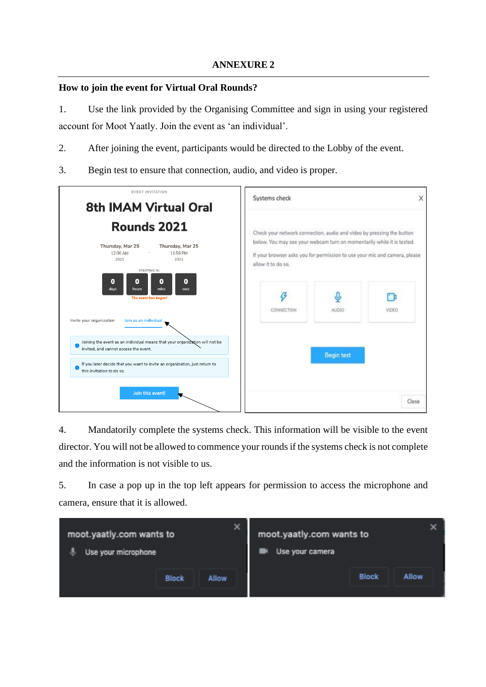#### <span id="page-8-0"></span>**How to join the event for Virtual Oral Rounds?**

1. Use the link provided by the Organising Committee and sign in using your registered account for Moot Yaatly. Join the event as 'an individual'.

- 2. After joining the event, participants would be directed to the Lobby of the event.
- 3. Begin test to ensure that connection, audio, and video is proper.

| <b>EVENT INVITATION</b><br><b>8th IMAM Virtual Oral</b>                                                                                                                                             | Systems check                                                                                                                                   |                   | х     |
|-----------------------------------------------------------------------------------------------------------------------------------------------------------------------------------------------------|-------------------------------------------------------------------------------------------------------------------------------------------------|-------------------|-------|
| Rounds 2021<br>Thursday, Mar 25<br>Thursday, Mar 25                                                                                                                                                 | Check your network connection, audio and video by pressing the button<br>below. You may see your webcam turn on momentarily while it is tested. |                   |       |
| 12:00 AM<br>11:59 PM<br>2021<br>2021<br><b>STARTING IN:</b><br>$\bf o$<br>0<br>0<br>0<br>mins<br>days<br>hours<br>secs                                                                              | If your browser asks you for permission to use your mic and camera, please<br>allow it to do so.                                                |                   |       |
| The event has begun!<br>Invite your organization<br>Join as an individual                                                                                                                           | CONNECTION                                                                                                                                      | AUDIO             | VIDEO |
| Joining the event as an individual means that your organization will not be<br>invited, and cannot access the event.<br>If you later decide that you want to invite an organization, just return to |                                                                                                                                                 | <b>Begin test</b> |       |
| this invitation to do so.<br>Join this event!                                                                                                                                                       |                                                                                                                                                 |                   | Close |

4. Mandatorily complete the systems check. This information will be visible to the event director. You will not be allowed to commence your rounds if the systems check is not complete and the information is not visible to us.

5. In case a pop up in the top left appears for permission to access the microphone and camera, ensure that it is allowed.

| moot.yaatly.com wants to<br>Use your microphone |              | ×            | moot.yaatly.com wants to<br>Use your camera |              |              |
|-------------------------------------------------|--------------|--------------|---------------------------------------------|--------------|--------------|
|                                                 | <b>Block</b> | <b>Allow</b> |                                             | <b>Block</b> | <b>Allow</b> |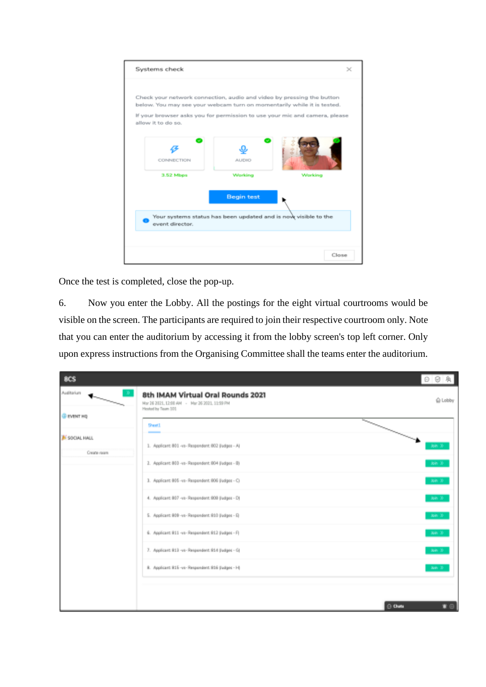| Check your network connection, audio and video by pressing the button                            |                   |                                                                |  |
|--------------------------------------------------------------------------------------------------|-------------------|----------------------------------------------------------------|--|
| below. You may see your webcam turn on momentarily while it is tested.                           |                   |                                                                |  |
| If your browser asks you for permission to use your mic and camera, please<br>allow it to do so. |                   |                                                                |  |
|                                                                                                  |                   |                                                                |  |
|                                                                                                  |                   |                                                                |  |
|                                                                                                  |                   |                                                                |  |
| CONNECTION                                                                                       | <b>AUDIO</b>      |                                                                |  |
|                                                                                                  |                   |                                                                |  |
| 3.52 Mbps                                                                                        | Working           | Working                                                        |  |
|                                                                                                  |                   |                                                                |  |
|                                                                                                  | <b>Begin test</b> |                                                                |  |
|                                                                                                  |                   |                                                                |  |
|                                                                                                  |                   | Your systems status has been updated and is now visible to the |  |
| event director.                                                                                  |                   |                                                                |  |
|                                                                                                  |                   |                                                                |  |
|                                                                                                  |                   |                                                                |  |

Once the test is completed, close the pop-up.

6. Now you enter the Lobby. All the postings for the eight virtual courtrooms would be visible on the screen. The participants are required to join their respective courtroom only. Note that you can enter the auditorium by accessing it from the lobby screen's top left corner. Only upon express instructions from the Organising Committee shall the teams enter the auditorium.

| <b>BCS</b>                                   |                                                                                                          | 泉                       |
|----------------------------------------------|----------------------------------------------------------------------------------------------------------|-------------------------|
| Auditorium<br>ю.<br>$\overline{\phantom{a}}$ | 8th IMAM Virtual Oral Rounds 2021<br>Mar 26 2021, 12:00 AM - Mar 26 2021, 11:59 PM<br>Hosted by Team 101 | <b>G Lobby</b>          |
| <b>@ EVENT HQ</b>                            | Sheet).                                                                                                  | $\searrow$              |
| <b>IN SOCIAL HALL</b><br>Create room         | $\overline{\phantom{a}}$<br>1. Applicant 801 -vs- Respondent: 802 (ludges - A)                           | Join 10                 |
|                                              | 2. Applicant 803 -vs- Respondent: 804 (ludges - B)                                                       | Join 30                 |
|                                              | 3. Applicant 805 -vs- Respondent: 906 Budges - Ci                                                        | <b>Join 30</b>          |
|                                              | 4. Applicant 807 -vs- Respondent: 909 (ludges - D)                                                       | Join 30                 |
|                                              | 5. Applicant 809 -vs- Respondent: 810 (ludges - E)                                                       | Join 30                 |
|                                              | 6. Applicant 811 -vs- Respondent 812 (ludges - F)                                                        | - Join 30               |
|                                              | 7. Applicant 813 -vo-Respondent R14 (ludges - G)<br>R. Applicant R15 -vs- Respondent R16 (ludges - H)    | John 30                 |
|                                              |                                                                                                          | Join 39                 |
|                                              |                                                                                                          |                         |
|                                              |                                                                                                          | ≇ ⊜  <br>$\ominus$ Outs |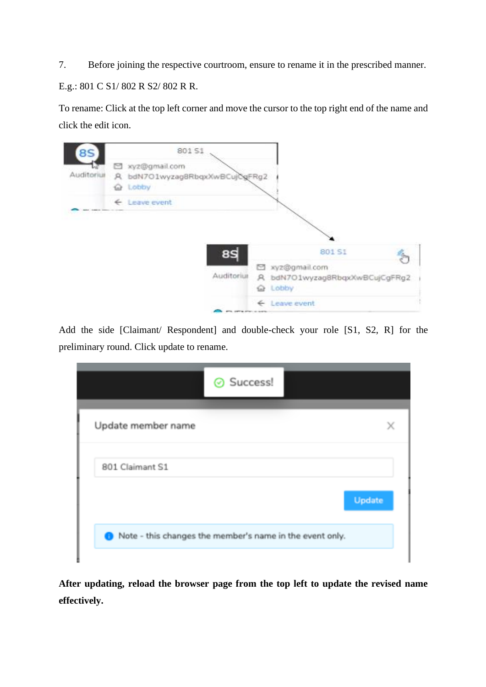7. Before joining the respective courtroom, ensure to rename it in the prescribed manner. E.g.: 801 C S1/ 802 R S2/ 802 R R.

To rename: Click at the top left corner and move the cursor to the top right end of the name and click the edit icon.

| 8S         | 801 S1                                                               |                                                                     |
|------------|----------------------------------------------------------------------|---------------------------------------------------------------------|
| Auditorius | El xyz@gmail.com<br>A bdN7O1wyzag8RbqxXwBCujOgFRg2<br><b>Q</b> Lobby |                                                                     |
|            | ← Leave event                                                        |                                                                     |
|            |                                                                      |                                                                     |
|            | 8S                                                                   | 801 S1                                                              |
|            | Auditorius                                                           | S xyz@gmail.com<br>A bdN7O1wyzag8RbqxXwBCujCgFRg2<br><b>Q</b> Lobby |
|            | <b>PTL SPECTROLLERS</b>                                              | ← Leave event                                                       |

Add the side [Claimant/ Respondent] and double-check your role [S1, S2, R] for the preliminary round. Click update to rename.

| ⊙ Success!                                               |        |
|----------------------------------------------------------|--------|
| Update member name                                       | x      |
| 801 Claimant S1                                          |        |
|                                                          | Update |
| Note - this changes the member's name in the event only. |        |

**After updating, reload the browser page from the top left to update the revised name effectively.**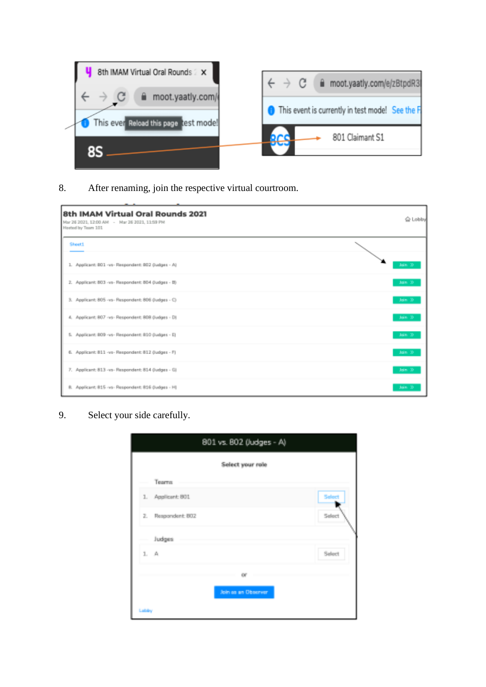

## 8. After renaming, join the respective virtual courtroom.

| 8th IMAM Virtual Oral Rounds 2021<br>Mar 26 2021, 12:00 AM - Mar 26 2021, 11:59 PM<br>Heated by Team 101 | △ Lobby |
|----------------------------------------------------------------------------------------------------------|---------|
| <b>Sheet1</b>                                                                                            |         |
| 1. Applicant: BO1 -vs- Respondent: BO2 (Judges - A)                                                      | Join.   |
| 2. Applicant: 803 -vs- Respondent: 804 (Judges - B)                                                      | Join.   |
| 3. Applicant: 805 -vs- Respondent: 806 (Judges - C)                                                      | Join.   |
| 4. Applicant: 807 -vs- Respondent: 808 (ludges - D)                                                      | Join X  |
| 5. Applicant: 809 -vs- Respondent: 810 (Judges - E)                                                      | Join 3  |
| 6. Applicant: 811 -vs- Respondent: 812 (Judges - F)                                                      | Join 3  |
| 7. Applicant: 813 -vs- Respondent: 814 (Judges - G)                                                      | Jain.   |
| 8. Applicant: 815 -vs- Respondent: 816 (ludges - H)                                                      | Join.   |

#### 9. Select your side carefully.

|                   | Select your role    |                                                                                                                                                                                                                                                                                                                                                     |
|-------------------|---------------------|-----------------------------------------------------------------------------------------------------------------------------------------------------------------------------------------------------------------------------------------------------------------------------------------------------------------------------------------------------|
| <b>Tearra</b>     |                     |                                                                                                                                                                                                                                                                                                                                                     |
| 1. Applicant: 801 |                     | Select                                                                                                                                                                                                                                                                                                                                              |
| Respondent: BO2   |                     | $\begin{picture}(20,10) \put(0,0){\line(1,0){10}} \put(15,0){\line(1,0){10}} \put(15,0){\line(1,0){10}} \put(15,0){\line(1,0){10}} \put(15,0){\line(1,0){10}} \put(15,0){\line(1,0){10}} \put(15,0){\line(1,0){10}} \put(15,0){\line(1,0){10}} \put(15,0){\line(1,0){10}} \put(15,0){\line(1,0){10}} \put(15,0){\line(1,0){10}} \put(15,0){\line(1$ |
| Judges            |                     |                                                                                                                                                                                                                                                                                                                                                     |
| $1. - A.$         |                     | Select.                                                                                                                                                                                                                                                                                                                                             |
|                   | OF.                 |                                                                                                                                                                                                                                                                                                                                                     |
|                   | Join so an Observer |                                                                                                                                                                                                                                                                                                                                                     |
|                   |                     |                                                                                                                                                                                                                                                                                                                                                     |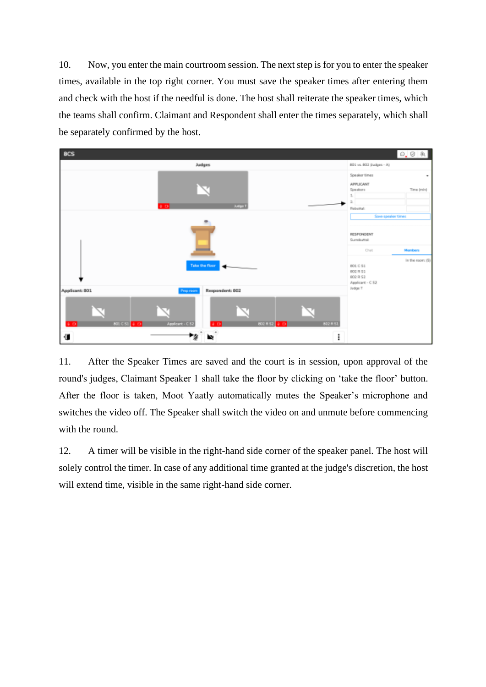10. Now, you enter the main courtroom session. The next step is for you to enter the speaker times, available in the top right corner. You must save the speaker times after entering them and check with the host if the needful is done. The host shall reiterate the speaker times, which the teams shall confirm. Claimant and Respondent shall enter the times separately, which shall be separately confirmed by the host.



11. After the Speaker Times are saved and the court is in session, upon approval of the round's judges, Claimant Speaker 1 shall take the floor by clicking on 'take the floor' button. After the floor is taken, Moot Yaatly automatically mutes the Speaker's microphone and switches the video off. The Speaker shall switch the video on and unmute before commencing with the round.

12. A timer will be visible in the right-hand side corner of the speaker panel. The host will solely control the timer. In case of any additional time granted at the judge's discretion, the host will extend time, visible in the same right-hand side corner.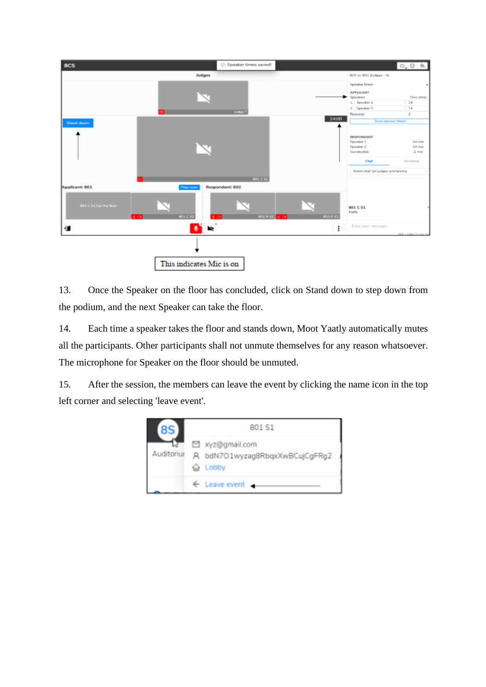

13. Once the Speaker on the floor has concluded, click on Stand down to step down from the podium, and the next Speaker can take the floor.

14. Each time a speaker takes the floor and stands down, Moot Yaatly automatically mutes all the participants. Other participants shall not unmute themselves for any reason whatsoever. The microphone for Speaker on the floor should be unmuted.

15. After the session, the members can leave the event by clicking the name icon in the top left corner and selecting 'leave event'.

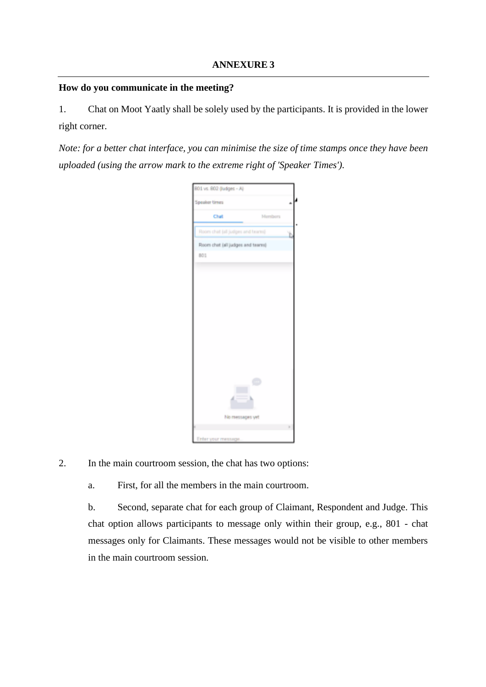#### <span id="page-14-0"></span>**How do you communicate in the meeting?**

1. Chat on Moot Yaatly shall be solely used by the participants. It is provided in the lower right corner.

*Note: for a better chat interface, you can minimise the size of time stamps once they have been uploaded (using the arrow mark to the extreme right of 'Speaker Times').*

|               | BOL vs. BO2 (ludges - Al)        |         |    |
|---------------|----------------------------------|---------|----|
| Speaker times |                                  |         | a. |
|               | Chat                             | Members |    |
|               | Room chat (all judges and teams) |         | ì, |
|               | Room chat (all judges and teams) |         |    |
| 101           |                                  |         |    |
|               |                                  |         |    |
|               |                                  |         |    |
|               |                                  |         |    |
|               |                                  |         |    |
|               |                                  |         |    |
|               |                                  |         |    |
|               |                                  |         |    |
|               |                                  |         |    |
|               |                                  |         |    |
|               |                                  |         |    |
|               |                                  | 0       |    |
|               | 4                                | Ŀ.      |    |
|               |                                  |         |    |
|               |                                  |         |    |
|               | No messages yet                  |         |    |

2. In the main courtroom session, the chat has two options:

a. First, for all the members in the main courtroom.

b. Second, separate chat for each group of Claimant, Respondent and Judge. This chat option allows participants to message only within their group, e.g., 801 - chat messages only for Claimants. These messages would not be visible to other members in the main courtroom session.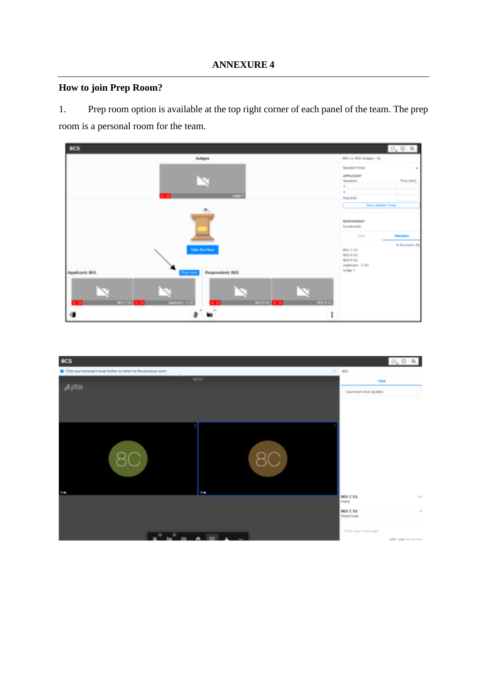#### **ANNEXURE 4**

## <span id="page-15-0"></span>**How to join Prep Room?**

1. Prep room option is available at the top right corner of each panel of the team. The prep room is a personal room for the team.



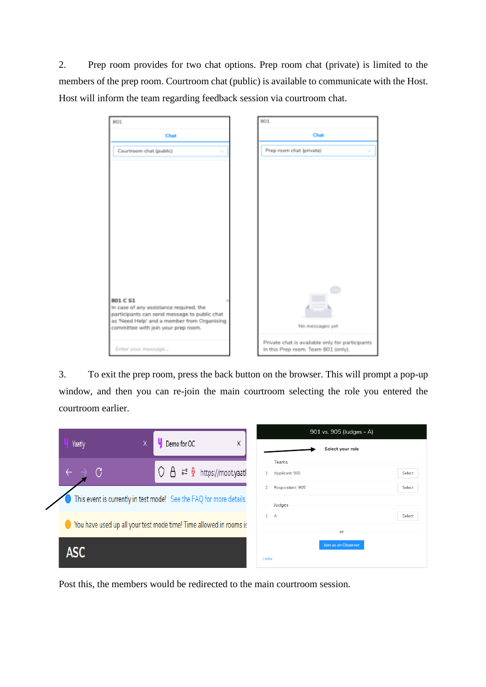2. Prep room provides for two chat options. Prep room chat (private) is limited to the members of the prep room. Courtroom chat (public) is available to communicate with the Host. Host will inform the team regarding feedback session via courtroom chat.

| 801                                                                                         | 801                                                                                    |  |  |
|---------------------------------------------------------------------------------------------|----------------------------------------------------------------------------------------|--|--|
| Chat                                                                                        | Chat                                                                                   |  |  |
| Courtroom chat (public)<br>w                                                                | Prep room chat (private)<br>v                                                          |  |  |
|                                                                                             |                                                                                        |  |  |
|                                                                                             |                                                                                        |  |  |
|                                                                                             |                                                                                        |  |  |
|                                                                                             |                                                                                        |  |  |
|                                                                                             |                                                                                        |  |  |
|                                                                                             |                                                                                        |  |  |
|                                                                                             |                                                                                        |  |  |
|                                                                                             |                                                                                        |  |  |
| 801 C S1<br>In case of any assistance required, the                                         |                                                                                        |  |  |
| participants can send message to public chat<br>as 'Need Help' and a member from Organising | No messages yet                                                                        |  |  |
| committee with join your prep room.                                                         |                                                                                        |  |  |
| Enter your message                                                                          | Private chat is available only for participants<br>in this Prep room. Team 801 (only). |  |  |

3. To exit the prep room, press the back button on the browser. This will prompt a pop-up window, and then you can re-join the main courtroom selecting the role you entered the courtroom earlier.

| v                                                                   | Demo for OC                           | X | 901 vs. 905 (Judges - A)        |
|---------------------------------------------------------------------|---------------------------------------|---|---------------------------------|
| Yaatly                                                              |                                       |   | Select your role                |
| C                                                                   | 凸 a <sup>o</sup> ♀ https://moot.yaatl |   | Teams                           |
|                                                                     |                                       |   | Applicant: 901<br>Select<br>1.  |
| This event is currently in test mode! See the FAQ for more details. |                                       |   | Respondent: 905<br>2.<br>Select |
|                                                                     |                                       |   | Judges                          |
|                                                                     |                                       |   | 1. A<br>Select                  |
| Sou have used up all your test mode time! Time allowed in rooms is  |                                       |   | or                              |
|                                                                     |                                       |   | Join as an Observer             |
| ASC                                                                 |                                       |   | Lobby                           |
|                                                                     |                                       |   |                                 |

Post this, the members would be redirected to the main courtroom session.